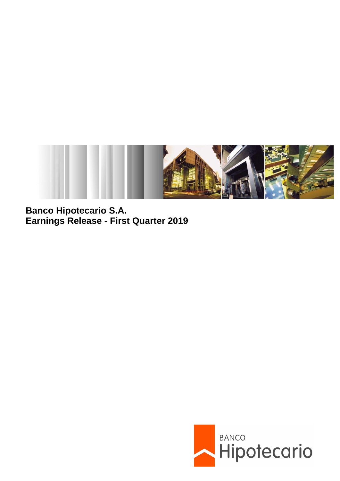

**Banco Hipotecario S.A. Earnings Release - First Quarter 2019**

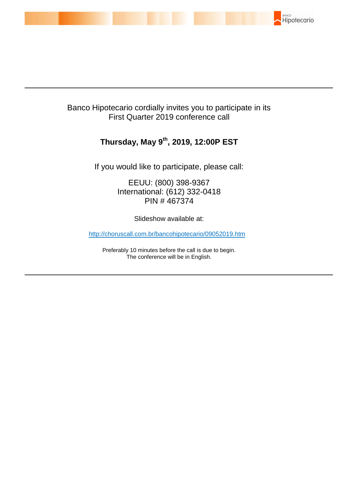

# Banco Hipotecario cordially invites you to participate in its First Quarter 2019 conference call

# **Thursday, May 9 th , 2019, 12:00P EST**

If you would like to participate, please call:

EEUU: (800) 398-9367 International: (612) 332-0418 PIN # 467374

Slideshow available at:

http://choruscall.com.br/bancohipotecario/09052019.htm

Preferably 10 minutes before the call is due to begin. The conference will be in English.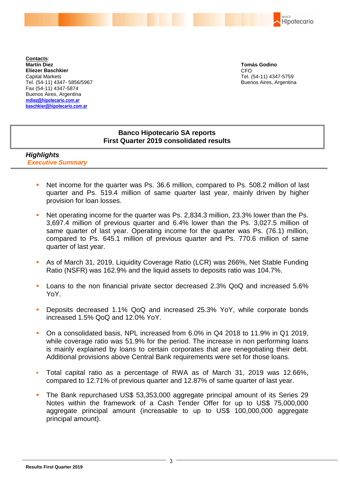BANCO Hipotecario

**Contacts**: **Martín Diez Eliezer Baschkier** Capital Markets Tel. (54-11) 4347- 5856/5967 Fax (54-11) 4347-5874 Buenos Aires, Argentina **mdiez@hipotecario.com.ar [baschkier@hipotecario.com.ar](mailto:baschkier@hipotecario.com.ar)**

**Tomás Godino** CFO Tel. (54-11) 4347-5759 Buenos Aires, Argentina

# **Banco Hipotecario SA reports First Quarter 2019 consolidated results**

## *Highlights Executive Summary*

- Net income for the quarter was Ps. 36.6 million, compared to Ps. 508.2 million of last quarter and Ps. 519.4 million of same quarter last year, mainly driven by higher provision for loan losses.
- Net operating income for the quarter was Ps. 2,834.3 million, 23.3% lower than the Ps. 3,697.4 million of previous quarter and 6.4% lower than the Ps. 3,027.5 million of same quarter of last year. Operating income for the quarter was Ps. (76.1) million, compared to Ps. 645.1 million of previous quarter and Ps. 770.6 million of same quarter of last year.
- As of March 31, 2019, Liquidity Coverage Ratio (LCR) was 266%, Net Stable Funding Ratio (NSFR) was 162.9% and the liquid assets to deposits ratio was 104.7%.
- Loans to the non financial private sector decreased 2.3% QoQ and increased 5.6% YoY.
- Deposits decreased 1.1% QoQ and increased 25.3% YoY, while corporate bonds increased 1.5% QoQ and 12.0% YoY.
- On a consolidated basis, NPL increased from 6.0% in Q4 2018 to 11.9% in Q1 2019, while coverage ratio was 51.9% for the period. The increase in non performing loans is mainly explained by loans to certain corporates that are renegotiating their debt. Additional provisions above Central Bank requirements were set for those loans.
- Total capital ratio as a percentage of RWA as of March 31, 2019 was 12.66%, compared to 12.71% of previous quarter and 12.87% of same quarter of last year.
- The Bank repurchased US\$ 53,353,000 aggregate principal amount of its Series 29 Notes within the framework of a Cash Tender Offer for up to US\$ 75,000,000 aggregate principal amount (increasable to up to US\$ 100,000,000 aggregate principal amount).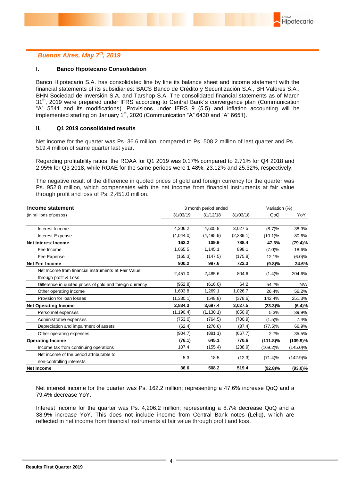

## *Buenos Aires, May 7 th, 2019*

#### **I. Banco Hipotecario Consolidation**

Banco Hipotecario S.A. has consolidated line by line its balance sheet and income statement with the financial statements of its subsidiaries: BACS Banco de Crédito y Securitización S.A., BH Valores S.A., BHN Sociedad de Inversión S.A. and Tarshop S.A. The consolidated financial statements as of March 31<sup>th</sup>, 2019 were prepared under IFRS according to Central Bank's convergence plan (Communication "A" 5541 and its modifications). Provisions under IFRS 9 (5.5) and inflation accounting will be in the measurement of the measurement of the starting on January 1st, 2020 (Communication "A" 6430 and "A" 6651).

#### **II. Q1 2019 consolidated results**

Net income for the quarter was Ps. 36.6 million, compared to Ps. 508.2 million of last quarter and Ps. 519.4 million of same quarter last year.

Regarding profitability ratios, the ROAA for Q1 2019 was 0.17% compared to 2.71% for Q4 2018 and 2.95% for Q3 2018, while ROAE for the same periods were 1.48%, 23.12% and 25.32%, respectively.

The negative result of the difference in quoted prices of gold and foreign currency for the quarter was Ps. 952.8 million, which compensates with the net income from financial instruments at fair value through profit and loss of Ps. 2,451.0 million.

| Income statement                                                             |            | 3 month period ended | Variation (%) |             |             |
|------------------------------------------------------------------------------|------------|----------------------|---------------|-------------|-------------|
| (in millions of pesos)                                                       | 31/03/19   | 31/12/18             | 31/03/18      | QoQ         | YoY         |
| Interest Income                                                              | 4.206.2    | 4,605.8              | 3,027.5       | (8.7)%      | 38.9%       |
| Interest Expense                                                             | (4,044.0)  | (4, 495.9)           | (2, 239.1)    | $(10.1)\%$  | 80.6%       |
| <b>Net Interest Income</b>                                                   | 162.2      | 109.9                | 788.4         | 47.6%       | (79.4)%     |
| Fee Income                                                                   | 1,065.5    | 1,145.1              | 898.1         | $(7.0)\%$   | 18.6%       |
| Fee Expense                                                                  | (165.3)    | (147.5)              | (175.8)       | 12.1%       | (6.0)%      |
| <b>Net Fee Income</b>                                                        | 900.2      | 997.6                | 722.3         | (9.8)%      | 24.6%       |
| Net Income from financial instruments at Fair Value<br>through profit & Loss | 2,451.0    | 2,485.6              | 804.6         | (1.4)%      | 204.6%      |
| Difference in quoted prices of gold and foreign currency                     | (952.8)    | (616.0)              | 64.2          | 54.7%       | N/A         |
| Other operating income                                                       | 1.603.8    | 1,269.1              | 1,026.7       | 26.4%       | 56.2%       |
| Provision for loan losses                                                    | (1,330.1)  | (548.8)              | (378.6)       | 142.4%      | 251.3%      |
| <b>Net Operating Income</b>                                                  | 2.834.3    | 3.697.4              | 3,027.5       | $(23.3)\%$  | (6.4)%      |
| Personnel expenses                                                           | (1, 190.4) | (1, 130.1)           | (850.9)       | 5.3%        | 39.9%       |
| Administrative expenses                                                      | (753.0)    | (764.5)              | (700.9)       | (1.5)%      | 7.4%        |
| Depreciation and impairment of assets                                        | (62.4)     | (276.6)              | (37.4)        | $(77.5)\%$  | 66.9%       |
| Other operating expenses                                                     | (904.7)    | (881.1)              | (667.7)       | 2.7%        | 35.5%       |
| <b>Operating Income</b>                                                      | (76.1)     | 645.1                | 770.6         | $(111.8)\%$ | (109.9)%    |
| Income tax from continuing operations                                        | 107.4      | (155.4)              | (238.9)       | $(169.2)\%$ | $(145.0)\%$ |
| Net income of the period attributable to<br>non-controlling interests        | 5.3        | 18.5                 | (12.3)        | $(71.4)\%$  | $(142.9)\%$ |
| <b>Net Income</b>                                                            | 36.6       | 508.2                | 519.4         | $(92.8)\%$  | $(93.0)\%$  |

Net interest income for the quarter was Ps. 162.2 million; representing a 47.6% increase QoQ and a 79.4% decrease YoY.

Interest income for the quarter was Ps. 4,206.2 million; representing a 8.7% decrease QoQ and a 38.9% increase YoY. This does not include income from Central Bank notes (Leliq), which are reflected in net income from financial instruments at fair value through profit and loss.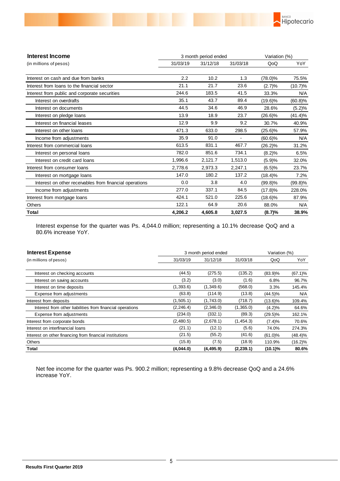

| Interest Income                                         | 3 month period ended | Variation (%) |          |            |            |
|---------------------------------------------------------|----------------------|---------------|----------|------------|------------|
| (in millions of pesos)                                  | 31/03/19             | 31/12/18      | 31/03/18 | QoQ        | YoY        |
| Interest on cash and due from banks                     | 2.2                  | 10.2          | 1.3      | $(78.0)\%$ | 75.5%      |
| Interest from loans to the financial sector             | 21.1                 | 21.7          | 23.6     | (2.7)%     | $(10.7)\%$ |
| Interest from public and corporate securities           | 244.6                | 183.5         | 41.5     | 33.3%      | N/A        |
| Interest on overdrafts                                  | 35.1                 | 43.7          | 89.4     | $(19.6)\%$ | (60.8)%    |
| Interest on documents                                   | 44.5                 | 34.6          | 46.9     | 28.6%      | (5.2)%     |
| Interest on pledge loans                                | 13.9                 | 18.9          | 23.7     | $(26.6)\%$ | (41.4)%    |
| Interest on financial leases                            | 12.9                 | 9.9           | 9.2      | 30.7%      | 40.9%      |
| Interest on other loans                                 | 471.3                | 633.0         | 298.5    | $(25.6)\%$ | 57.9%      |
| Income from adjustments                                 | 35.9                 | 91.0          |          | $(60.6)\%$ | N/A        |
| Interest from commercial loans                          | 613.5                | 831.1         | 467.7    | $(26.2)\%$ | 31.2%      |
| Interest on personal loans                              | 782.0                | 851.6         | 734.1    | (8.2)%     | 6.5%       |
| Interest on credit card loans                           | 1,996.6              | 2,121.7       | 1,513.0  | (5.9)%     | 32.0%      |
| Interest from consumer loans                            | 2.778.6              | 2,973.3       | 2,247.1  | (6.5)%     | 23.7%      |
| Interest on mortgage loans                              | 147.0                | 180.2         | 137.2    | $(18.4)\%$ | 7.2%       |
| Interest on other receivables from financial operations | 0.0                  | 3.8           | 4.0      | $(99.8)\%$ | $(99.8)\%$ |
| Income from adjustments                                 | 277.0                | 337.1         | 84.5     | (17.8)%    | 228.0%     |
| Interest from mortgage loans                            | 424.1                | 521.0         | 225.6    | $(18.6)\%$ | 87.9%      |
| <b>Others</b>                                           | 122.1                | 64.9          | 20.6     | 88.0%      | N/A        |
| Total                                                   | 4,206.2              | 4.605.8       | 3,027.5  | (8.7)%     | 38.9%      |

Interest expense for the quarter was Ps. 4,044.0 million; representing a 10.1% decrease QoQ and a 80.6% increase YoY.

| <b>Interest Expense</b>                                   | 3 month period ended |            |            |            |            |
|-----------------------------------------------------------|----------------------|------------|------------|------------|------------|
| (in millions of pesos)                                    | 31/03/19             | 31/12/18   | 31/03/18   | QoQ        | YoY        |
|                                                           |                      |            |            |            |            |
| Interest on checking accounts                             | (44.5)               | (275.5)    | (135.2)    | $(83.9)\%$ | $(67.1)\%$ |
| Interest on saving accounts                               | (3.2)                | (3.0)      | (1.6)      | 6.8%       | 96.7%      |
| Interest on time deposits                                 | (1,393.6)            | (1,349.6)  | (568.0)    | 3.3%       | 145.4%     |
| Expense from adjustments                                  | (63.8)               | (114.9)    | (13.8)     | $(44.5)\%$ | N/A        |
| Interest from deposits                                    | (1,505.1)            | (1,743.0)  | (718.7)    | $(13.6)\%$ | 109.4%     |
| Interest from other liabilities from financial operations | (2, 246.4)           | (2,346.0)  | (1,365.0)  | $(4.2)\%$  | 64.6%      |
| Expense from adjustments                                  | (234.0)              | (332.1)    | (89.3)     | $(29.5)\%$ | 162.1%     |
| Interest from corporate bonds                             | (2,480.5)            | (2,678.1)  | (1,454.3)  | (7.4)%     | 70.6%      |
| Interest on interfinancial loans                          | (21.1)               | (12.1)     | (5.6)      | 74.0%      | 274.3%     |
| Interest on other financing from financial institutions   | (21.5)               | (55.2)     | (41.6)     | $(61.0)\%$ | (48.4)%    |
| Others                                                    | (15.8)               | (7.5)      | (18.9)     | 110.9%     | $(16.2)\%$ |
| Total                                                     | (4,044.0)            | (4, 495.9) | (2, 239.1) | $(10.1)\%$ | 80.6%      |

Net fee income for the quarter was Ps. 900.2 million; representing a 9.8% decrease QoQ and a 24.6% increase YoY.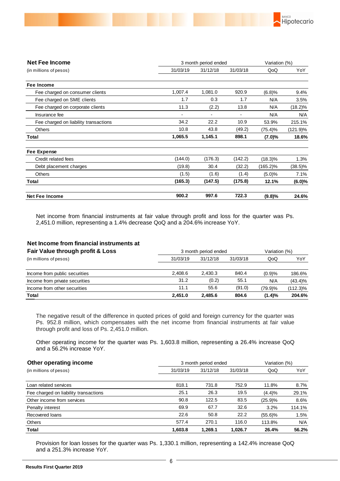

| <b>Net Fee Income</b>                 | 3 month period ended |          |                          |             |             |
|---------------------------------------|----------------------|----------|--------------------------|-------------|-------------|
| (in millions of pesos)                | 31/03/19             | 31/12/18 | 31/03/18                 | QoQ         | YoY         |
| Fee Income                            |                      |          |                          |             |             |
| Fee charged on consumer clients       | 1,007.4              | 1,081.0  | 920.9                    | (6.8)%      | 9.4%        |
| Fee charged on SME clients            | 1.7                  | 0.3      | 1.7                      | N/A         | 3.5%        |
| Fee charged on corporate clients      | 11.3                 | (2.2)    | 13.8                     | N/A         | $(18.2)\%$  |
| Insurance fee                         |                      |          | $\overline{\phantom{a}}$ | N/A         | N/A         |
| Fee charged on liability transactions | 34.2                 | 22.2     | 10.9                     | 53.9%       | 215.1%      |
| <b>Others</b>                         | 10.8                 | 43.8     | (49.2)                   | (75.4)%     | $(121.9)\%$ |
| Total                                 | 1,065.5              | 1,145.1  | 898.1                    | $(7.0)\%$   | 18.6%       |
| Fee Expense                           |                      |          |                          |             |             |
| Credit related fees                   | (144.0)              | (176.3)  | (142.2)                  | $(18.3)\%$  | 1.3%        |
| Debt placement charges                | (19.8)               | 30.4     | (32.2)                   | $(165.2)\%$ | $(38.5)\%$  |
| <b>Others</b>                         | (1.5)                | (1.6)    | (1.4)                    | (5.0)%      | 7.1%        |
| Total                                 | (165.3)              | (147.5)  | (175.8)                  | 12.1%       | (6.0)%      |
| <b>Net Fee Income</b>                 | 900.2                | 997.6    | 722.3                    | (9.8)%      | 24.6%       |

Net income from financial instruments at fair value through profit and loss for the quarter was Ps. 2,451.0 million, representing a 1.4% decrease QoQ and a 204.6% increase YoY.

### **Net Income from financial instruments at**

| Fair Value through profit & Loss | 3 month period ended | Variation (%) |          |         |            |
|----------------------------------|----------------------|---------------|----------|---------|------------|
| (in millions of pesos)           | 31/12/18<br>31/03/19 |               | 31/03/18 | QoQ     | YoY        |
|                                  |                      |               |          |         |            |
| Income from public securities    | 2.408.6              | 2.430.3       | 840.4    | (0.9)%  | 186.6%     |
| Income from private securities   | 31.2                 | (0.2)         | 55.1     | N/A     | $(43.4)\%$ |
| Income from other securities     | 11.1                 | 55.6          | (91.0)   | (79.9)% | (112.3)%   |
| Total                            | 2.451.0              | 2,485.6       | 804.6    | (1.4)%  | 204.6%     |

The negative result of the difference in quoted prices of gold and foreign currency for the quarter was Ps. 952.8 million, which compensates with the net income from financial instruments at fair value through profit and loss of Ps. 2,451.0 million.

Other operating income for the quarter was Ps. 1,603.8 million, representing a 26.4% increase QoQ and a 56.2% increase YoY.

| Other operating income                |          | 3 month period ended |          |            |        |  |
|---------------------------------------|----------|----------------------|----------|------------|--------|--|
| (in millions of pesos)                | 31/03/19 | 31/12/18             | 31/03/18 | QoQ        | YoY    |  |
|                                       |          |                      |          |            |        |  |
| Loan related services                 | 818.1    | 731.8                | 752.9    | 11.8%      | 8.7%   |  |
| Fee charged on liability transactions | 25.1     | 26.3                 | 19.5     | (4.4)%     | 29.1%  |  |
| Other income from services            | 90.8     | 122.5                | 83.5     | (25.9)%    | 8.6%   |  |
| Penalty interest                      | 69.9     | 67.7                 | 32.6     | 3.2%       | 114.1% |  |
| Recovered Ioans                       | 22.6     | 50.8                 | 22.2     | $(55.6)\%$ | 1.5%   |  |
| <b>Others</b>                         | 577.4    | 270.1                | 116.0    | 113.8%     | N/A    |  |
| Total                                 | 1,603.8  | 1.269.1              | 1.026.7  | 26.4%      | 56.2%  |  |

Provision for loan losses for the quarter was Ps. 1,330.1 million, representing a 142.4% increase QoQ and a 251.3% increase YoY.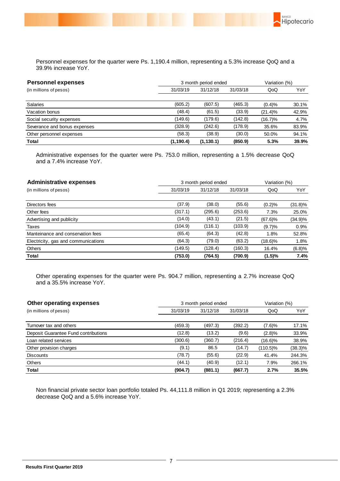

BANCO

Hipotecario

| <b>Personnel expenses</b>    |            | 3 month period ended |          |            |       |
|------------------------------|------------|----------------------|----------|------------|-------|
| (in millions of pesos)       | 31/03/19   | 31/12/18             | 31/03/18 | QoQ        | YoY   |
| Salaries                     | (605.2)    | (607.5)              | (465.3)  | (0.4)%     | 30.1% |
| Vacation bonus               | (48.4)     | (61.5)               | (33.9)   | $(21.4)\%$ | 42.9% |
| Social security expenses     | (149.6)    | (179.6)              | (142.8)  | (16.7)%    | 4.7%  |
| Severance and bonus expenses | (328.9)    | (242.6)              | (178.9)  | 35.6%      | 83.9% |
| Other personnel expenses     | (58.3)     | (38.9)               | (30.0)   | 50.0%      | 94.1% |
| Total                        | (1, 190.4) | (1, 130.1)           | (850.9)  | 5.3%       | 39.9% |

Administrative expenses for the quarter were Ps. 753.0 million, representing a 1.5% decrease QoQ and a 7.4% increase YoY.

| <b>Administrative expenses</b>      | 3 month period ended | Variation (%) |          |            |            |
|-------------------------------------|----------------------|---------------|----------|------------|------------|
| (in millions of pesos)              | 31/03/19             | 31/12/18      | 31/03/18 | QoQ        | YoY        |
|                                     |                      |               |          |            |            |
| Directors fees                      | (37.9)               | (38.0)        | (55.6)   | (0.2)%     | $(31.8)\%$ |
| Other fees                          | (317.1)              | (295.6)       | (253.6)  | 7.3%       | 25.0%      |
| Advertising and publicity           | (14.0)               | (43.1)        | (21.5)   | $(67.6)\%$ | $(34.9)\%$ |
| Taxes                               | (104.9)              | (116.1)       | (103.9)  | (9.7)%     | 0.9%       |
| Manteinance and conservation fees   | (65.4)               | (64.3)        | (42.8)   | 1.8%       | 52.8%      |
| Electricity, gas and communications | (64.3)               | (79.0)        | (63.2)   | $(18.6)\%$ | 1.8%       |
| <b>Others</b>                       | (149.5)              | (128.4)       | (160.3)  | 16.4%      | (6.8)%     |
| Total                               | (753.0)              | (764.5)       | (700.9)  | (1.5)%     | 7.4%       |

Other operating expenses for the quarter were Ps. 904.7 million, representing a 2.7% increase QoQ and a 35.5% increase YoY.

| Other operating expenses             | 3 month period ended | Variation (%) |          |          |            |
|--------------------------------------|----------------------|---------------|----------|----------|------------|
| (in millions of pesos)               | 31/03/19             | 31/12/18      | 31/03/18 | QoQ      | YoY        |
|                                      |                      |               |          |          |            |
| Turnover tax and others              | (459.3)              | (497.3)       | (392.2)  | (7.6)%   | 17.1%      |
| Deposit Guarantee Fund contributions | (12.8)               | (13.2)        | (9.6)    | (2.8)%   | 33.9%      |
| Loan related services                | (300.6)              | (360.7)       | (216.4)  | (16.6)%  | 38.9%      |
| Other provision charges              | (9.1)                | 86.5          | (14.7)   | (110.5)% | $(38.3)\%$ |
| <b>Discounts</b>                     | (78.7)               | (55.6)        | (22.9)   | 41.4%    | 244.3%     |
| <b>Others</b>                        | (44.1)               | (40.9)        | (12.1)   | 7.9%     | 266.1%     |
| Total                                | (904.7)              | (881.1)       | (667.7)  | 2.7%     | 35.5%      |

Non financial private sector loan portfolio totaled Ps. 44,111.8 million in Q1 2019; representing a 2.3% decrease QoQ and a 5.6% increase YoY.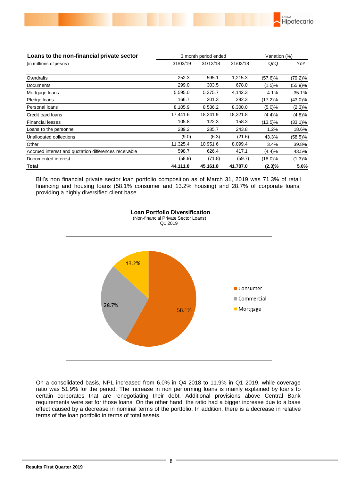

| Loans to the non-financial private sector             |          | 3 month period ended |          | Variation (%) |            |
|-------------------------------------------------------|----------|----------------------|----------|---------------|------------|
| (in millions of pesos)                                | 31/03/19 | 31/12/18             | 31/03/18 | QoQ           | YoY        |
|                                                       |          |                      |          |               |            |
| Overdrafts                                            | 252.3    | 595.1                | 1,215.3  | $(57.6)\%$    | $(79.2)\%$ |
| Documents                                             | 299.0    | 303.5                | 678.0    | (1.5)%        | (55.9)%    |
| Mortgage loans                                        | 5,595.0  | 5,375.7              | 4,142.3  | 4.1%          | 35.1%      |
| Pledge loans                                          | 166.7    | 201.3                | 292.3    | $(17.2)\%$    | $(43.0)\%$ |
| Personal loans                                        | 8,105.9  | 8,536.2              | 8,300.0  | (5.0)%        | $(2.3)\%$  |
| Credit card loans                                     | 17,441.6 | 18,241.9             | 18,321.8 | (4.4)%        | (4.8)%     |
| <b>Financial leases</b>                               | 105.8    | 122.3                | 158.3    | $(13.5)\%$    | $(33.1)\%$ |
| Loans to the personnel                                | 289.2    | 285.7                | 243.8    | 1.2%          | 18.6%      |
| Unallocated collections                               | (9.0)    | (6.3)                | (21.6)   | 43.3%         | $(58.5)\%$ |
| Other                                                 | 11,325.4 | 10,951.6             | 8,099.4  | 3.4%          | 39.8%      |
| Accrued interest and quotation differences receivable | 598.7    | 626.4                | 417.1    | (4.4)%        | 43.5%      |
| Documented interest                                   | (58.9)   | (71.8)               | (59.7)   | (18.0)%       | (1.3)%     |
| Total                                                 | 44,111.8 | 45.161.8             | 41,787.0 | $(2.3)\%$     | 5.6%       |

BH's non financial private sector loan portfolio composition as of March 31, 2019 was 71.3% of retail financing and housing loans (58.1% consumer and 13.2% housing) and 28.7% of corporate loans, providing a highly diversified client base.



 **Loan Portfolio Diversification** (Non-financial Private Sector Loans) Q1 2019

On a consolidated basis, NPL increased from 6.0% in Q4 2018 to 11.9% in Q1 2019, while coverage ratio was 51.9% for the period. The increase in non performing loans is mainly explained by loans to certain corporates that are renegotiating their debt. Additional provisions above Central Bank requirements were set for those loans. On the other hand, the ratio had a bigger increase due to a base effect caused by a decrease in nominal terms of the portfolio. In addition, there is a decrease in relative terms of the loan portfolio in terms of total assets.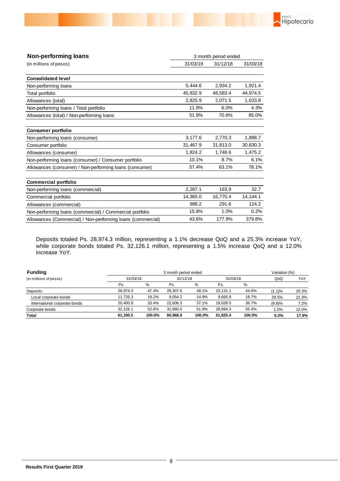

| <b>Consolidated level</b>                                   |          |          |          |
|-------------------------------------------------------------|----------|----------|----------|
| Non-performing loans                                        | 5,444.6  | 2,934.2  | 1,921.4  |
| Total portfolio                                             | 45,832.9 | 48,583.4 | 44,974.5 |
| Allowances (total)                                          | 2,825.9  | 2,071.5  | 1,633.8  |
| Non-performing loans / Total portfolio                      | 11.9%    | 6.0%     | 4.3%     |
| Allowances (total) / Non-performing loans                   | 51.9%    | 70.6%    | 85.0%    |
| <b>Consumer portfolio</b>                                   |          |          |          |
| Non-performing loans (consumer)                             | 3,177.6  | 2,770.3  | 1,888.7  |
| Consumer portfolio                                          | 31,467.9 | 31,813.0 | 30,830.3 |
| Allowances (consumer)                                       | 1,824.2  | 1,748.6  | 1,475.2  |
| Non-performing loans (consumer) / Consumer portfolio        | 10.1%    | 8.7%     | 6.1%     |
| Allowances (consumer) / Non-performing loans (consumer)     | 57.4%    | 63.1%    | 78.1%    |
| <b>Commercial portfolio</b>                                 |          |          |          |
| Non-performing loans (commercial)                           | 2,267.1  | 163.9    | 32.7     |
| Commercial portfolio                                        | 14,365.0 | 16,770.4 | 14,144.1 |
| Allowances (commercial)                                     | 988.2    | 291.6    | 124.2    |
| Non-performing loans (commercial) / Commercial portfolio    | 15.8%    | 1.0%     | 0.2%     |
| Allowances (Commercial) / Non-performing loans (commercial) | 43.6%    | 177.9%   | 379.8%   |

Deposits totaled Ps. 28,974.3 million, representing a 1.1% decrease QoQ and a 25.3% increase YoY, while corporate bonds totaled Ps. 32,126.1 million, representing a 1.5% increase QoQ and a 12.0% increase YoY.

| <b>Funding</b>                | 3 month period ended |          |          |          |          |          |        | Variation (%) |  |
|-------------------------------|----------------------|----------|----------|----------|----------|----------|--------|---------------|--|
| (in millions of pesos)        |                      | 31/03/19 |          | 31/12/18 |          | 31/03/18 | QoQ    | YoY           |  |
|                               | Ps.                  | %        | Ps.      | $\%$     | Ps.      | %        |        |               |  |
| Deposits                      | 28.974.3             | 47.4%    | 29.307.6 | 48.1%    | 23.131.1 | 44.6%    | (1.1)% | 25.3%         |  |
| Local corporate bonds         | 11.725.3             | 19.2%    | 9,054.2  | 14.9%    | 9.665.8  | 18.7%    | 29.5%  | 21.3%         |  |
| International corporate bonds | 20.400.8             | 33.4%    | 22.606.3 | 37.1%    | 19.028.5 | 36.7%    | (9.8)% | 7.2%          |  |
| Corporate bonds               | 32.126.1             | 52.6%    | 31.660.5 | 51.9%    | 28.694.3 | 55.4%    | 1.5%   | 12.0%         |  |
| Total                         | 61.100.5             | 100.0%   | 60.968.0 | 100.0%   | 51.825.4 | 100.0%   | 0.2%   | 17.9%         |  |

**Non-performing loans**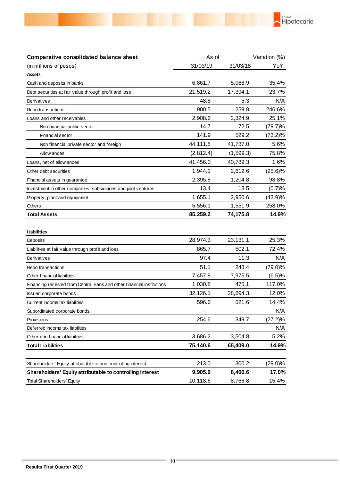

| Comparative consolidated balance sheet                                | As of     |            | Variation (%) |  |
|-----------------------------------------------------------------------|-----------|------------|---------------|--|
| (in millions of pesos)                                                | 31/03/19  | 31/03/18   | YoY           |  |
| <b>Assets</b>                                                         |           |            |               |  |
| Cash and deposits in banks                                            | 6,861.7   | 5,068.9    | 35.4%         |  |
| Debt securities at fair value through profit and loss                 | 21,519.2  | 17,394.1   | 23.7%         |  |
| Derivatives                                                           | 48.8      | 5.3        | N/A           |  |
| Repo transactions                                                     | 900.5     | 259.8      | 246.6%        |  |
| Loans and other receivables                                           | 2,908.6   | 2,324.9    | 25.1%         |  |
| Non financial public sector                                           | 14.7      | 72.5       | $(79.7)\%$    |  |
| Financial sector                                                      | 141.9     | 529.2      | $(73.2)\%$    |  |
| Non financial private sector and foreign                              | 44,111.8  | 41,787.0   | 5.6%          |  |
| Allow ances                                                           | (2,812.4) | (1, 599.3) | 75.8%         |  |
| Loans, net of allow ances                                             | 41,456.0  | 40,789.3   | 1.6%          |  |
| Other debt securities                                                 | 1,944.1   | 2,612.6    | $(25.6)\%$    |  |
| Financial assets in guarantee                                         | 2,395.8   | 1,204.8    | 98.8%         |  |
| Investment in other companies, subsidiaries and joint ventures        | 13.4      | 13.5       | (0.7)%        |  |
| Property, plant and equipment                                         | 1,655.1   | 2,950.6    | (43.9)%       |  |
| <b>Others</b>                                                         | 5,556.1   | 1,551.9    | 258.0%        |  |
| <b>Total Assets</b>                                                   | 85,259.2  | 74,175.8   | 14.9%         |  |
| <b>Liabilities</b>                                                    |           |            |               |  |
| Deposits                                                              | 28,974.3  | 23,131.1   | 25.3%         |  |
| Liabilities at fair value through profit and loss                     | 865.7     | 502.1      | 72.4%         |  |
| Derivatives                                                           | 97.4      | 11.3       | N/A           |  |
| Repo transactions                                                     | 51.1      | 243.4      | $(79.0)\%$    |  |
| Other financial liabilities                                           | 7,457.8   | 7,975.5    | (6.5)%        |  |
| Financing received from Central Bank and other financial institutions | 1,030.8   | 475.1      | 117.0%        |  |
| <b>Issued corporate bonds</b>                                         | 32,126.1  | 28,694.3   | 12.0%         |  |
| Current income tax liabilities                                        | 596.6     | 521.6      | 14.4%         |  |
| Subordinated corporate bonds                                          |           |            | N/A           |  |
| Provisions                                                            | 254.6     | 349.7      | $(27.2)\%$    |  |
| Deferred income tax liabilities                                       |           |            | N/A           |  |
| Other non financial liabilities                                       | 3,686.2   | 3,504.8    | 5.2%          |  |
| <b>Total Liabilities</b>                                              | 75,140.6  | 65,409.0   | 14.9%         |  |
| Shareholders' Equity attributable to non controlling interest         | 213.0     | 300.2      | $(29.0)\%$    |  |
| Shareholders' Equity attributable to controlling interest             | 9,905.6   | 8,466.6    | 17.0%         |  |
| <b>Total Shareholders' Equity</b>                                     | 10,118.6  | 8,766.8    | 15.4%         |  |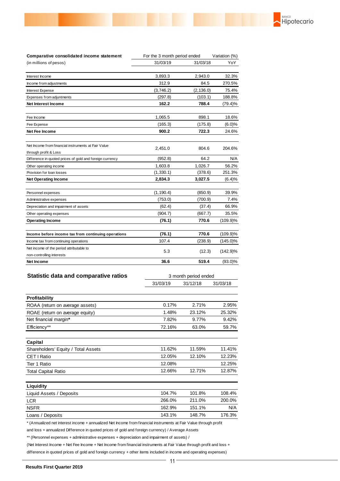| Comparative consolidated income statement                                    |            | For the 3 month period ended |             |
|------------------------------------------------------------------------------|------------|------------------------------|-------------|
| (in millions of pesos)                                                       | 31/03/19   | 31/03/18                     | YoY         |
|                                                                              |            |                              |             |
| Interest Income                                                              | 3,893.3    | 2,943.0                      | 32.3%       |
| Income from adjustments                                                      | 312.9      | 84.5                         | 270.5%      |
| Interest Expense                                                             | (3,746.2)  | (2, 136.0)                   | 75.4%       |
| Expenses from adjuntments                                                    | (297.8)    | (103.1)                      | 188.8%      |
| Net Interest Income                                                          | 162.2      | 788.4                        | (79.4)%     |
| Fee Income                                                                   | 1,065.5    | 898.1                        | 18.6%       |
| Fee Expense                                                                  | (165.3)    | (175.8)                      | (6.0)%      |
| Net Fee Income                                                               | 900.2      | 722.3                        | 24.6%       |
| Net Income from financial instruments at Fair Value<br>through profit & Loss | 2,451.0    | 804.6                        | 204.6%      |
| Difference in quoted prices of gold and foreign currency                     | (952.8)    | 64.2                         | N/A         |
| Other operating income                                                       | 1,603.8    | 1,026.7                      | 56.2%       |
| Provision for loan losses                                                    | (1,330.1)  | (378.6)                      | 251.3%      |
| <b>Net Operating Income</b>                                                  | 2,834.3    | 3,027.5                      | (6.4)%      |
|                                                                              |            |                              |             |
| Personnel expenses                                                           | (1, 190.4) | (850.9)                      | 39.9%       |
| Administrative expenses                                                      | (753.0)    | (700.9)                      | 7.4%        |
| Depreciation and impairment of assets                                        | (62.4)     | (37.4)                       | 66.9%       |
| Other operating expenses                                                     | (904.7)    | (667.7)                      | 35.5%       |
| <b>Operating Income</b>                                                      | (76.1)     | 770.6                        | $(109.9)\%$ |
| Income before income tax from continuing operations                          | (76.1)     | 770.6                        | $(109.9)\%$ |
| Income tax from continuing operations                                        | 107.4      | (238.9)                      | $(145.0)\%$ |
| Net income of the period attributable to<br>non-controlling interests        | 5.3        | (12.3)                       | $(142.9)\%$ |
| Net Income                                                                   | 36.6       | 519.4                        | $(93.0)\%$  |
| <b>Statistic data and comparative ratios</b>                                 |            | 3 month period ended         |             |
|                                                                              | 31/03/19   | 31/12/18                     | 31/03/18    |
| <b>Profitability</b>                                                         |            |                              |             |
| ROAA (return on average assets)                                              | 0.17%      | 2.71%                        | 2.95%       |
| ROAE (return on average equity)                                              | 1.48%      | 23.12%                       | 25.32%      |
| Net financial margin*                                                        | 7.82%      | 9.77%                        | 9.42%       |

**BANCO**<br>Hipotecario

| Capital                             |        |           |        |
|-------------------------------------|--------|-----------|--------|
| Shareholders' Equity / Total Assets | 11.62% | 11.59%    | 11.41% |
| CET I Ratio                         | 12.05% | $12.10\%$ | 12.23% |
| Tier 1 Ratio                        | 12.08% |           | 12.25% |
| <b>Total Capital Ratio</b>          | 12.66% | $12.71\%$ | 12.87% |
|                                     |        |           |        |

Efficiency\*\* 63.0% 59.7%

| Liquidity                |        |        |        |
|--------------------------|--------|--------|--------|
| Liquid Assets / Deposits | 104.7% | 101.8% | 108.4% |
| <b>LCR</b>               | 266.0% | 211.0% | 200.0% |
| <b>NSFR</b>              | 162.9% | 151.1% | N/A    |
| Loans / Deposits         | 143.1% | 148.7% | 176.3% |

\* (Annualized net interest income + annualized Net Income from financial instruments at Fair Value through profit

and loss + annualized Difference in quoted prices of gold and foreign currency) / Average Assets

\*\* (Personnel expenses + administrative expenses + depreciation and impairment of assets) /

(Net Interest Income + Net Fee Income + Net Income from financial instruments at Fair Value through profit and loss +

difference in quoted prices of gold and foreign currency + other items included in income and operating expenses)